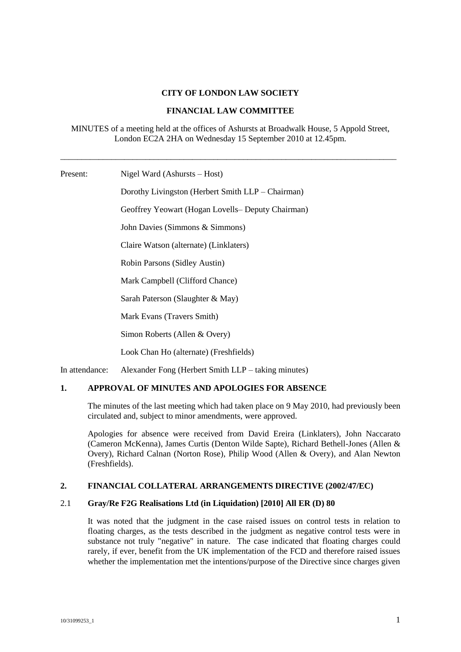### **CITY OF LONDON LAW SOCIETY**

#### **FINANCIAL LAW COMMITTEE**

#### MINUTES of a meeting held at the offices of Ashursts at Broadwalk House, 5 Appold Street, London EC2A 2HA on Wednesday 15 September 2010 at 12.45pm.

\_\_\_\_\_\_\_\_\_\_\_\_\_\_\_\_\_\_\_\_\_\_\_\_\_\_\_\_\_\_\_\_\_\_\_\_\_\_\_\_\_\_\_\_\_\_\_\_\_\_\_\_\_\_\_\_\_\_\_\_\_\_\_\_\_\_\_\_\_\_\_\_\_\_\_\_\_\_\_

Present: Nigel Ward (Ashursts – Host)

Dorothy Livingston (Herbert Smith LLP – Chairman) Geoffrey Yeowart (Hogan Lovells– Deputy Chairman) John Davies (Simmons & Simmons) Claire Watson (alternate) (Linklaters) Robin Parsons (Sidley Austin) Mark Campbell (Clifford Chance) Sarah Paterson (Slaughter & May) Mark Evans (Travers Smith) Simon Roberts (Allen & Overy) Look Chan Ho (alternate) (Freshfields)

In attendance: Alexander Fong (Herbert Smith LLP – taking minutes)

## **1. APPROVAL OF MINUTES AND APOLOGIES FOR ABSENCE**

The minutes of the last meeting which had taken place on 9 May 2010, had previously been circulated and, subject to minor amendments, were approved.

Apologies for absence were received from David Ereira (Linklaters), John Naccarato (Cameron McKenna), James Curtis (Denton Wilde Sapte), Richard Bethell-Jones (Allen & Overy), Richard Calnan (Norton Rose), Philip Wood (Allen & Overy), and Alan Newton (Freshfields).

### **2. FINANCIAL COLLATERAL ARRANGEMENTS DIRECTIVE (2002/47/EC)**

### 2.1 **Gray/Re F2G Realisations Ltd (in Liquidation) [2010] All ER (D) 80**

It was noted that the judgment in the case raised issues on control tests in relation to floating charges, as the tests described in the judgment as negative control tests were in substance not truly "negative" in nature. The case indicated that floating charges could rarely, if ever, benefit from the UK implementation of the FCD and therefore raised issues whether the implementation met the intentions/purpose of the Directive since charges given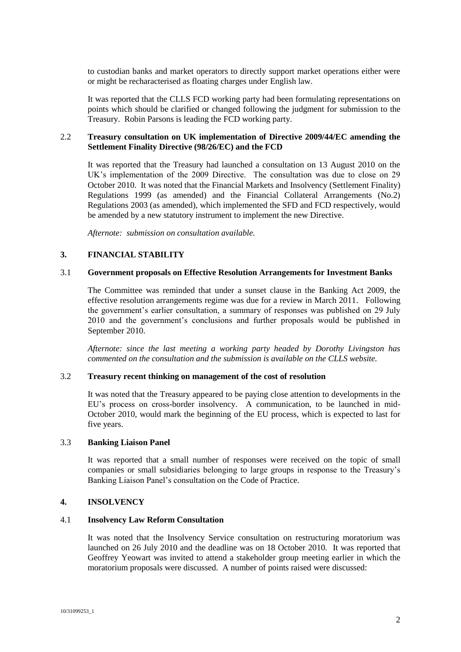to custodian banks and market operators to directly support market operations either were or might be recharacterised as floating charges under English law.

It was reported that the CLLS FCD working party had been formulating representations on points which should be clarified or changed following the judgment for submission to the Treasury. Robin Parsons is leading the FCD working party.

### 2.2 **Treasury consultation on UK implementation of Directive 2009/44/EC amending the Settlement Finality Directive (98/26/EC) and the FCD**

It was reported that the Treasury had launched a consultation on 13 August 2010 on the UK's implementation of the 2009 Directive. The consultation was due to close on 29 October 2010. It was noted that the Financial Markets and Insolvency (Settlement Finality) Regulations 1999 (as amended) and the Financial Collateral Arrangements (No.2) Regulations 2003 (as amended), which implemented the SFD and FCD respectively, would be amended by a new statutory instrument to implement the new Directive.

*Afternote: submission on consultation available.*

### **3. FINANCIAL STABILITY**

#### 3.1 **Government proposals on Effective Resolution Arrangements for Investment Banks**

The Committee was reminded that under a sunset clause in the Banking Act 2009, the effective resolution arrangements regime was due for a review in March 2011. Following the government's earlier consultation, a summary of responses was published on 29 July 2010 and the government's conclusions and further proposals would be published in September 2010.

*Afternote: since the last meeting a working party headed by Dorothy Livingston has commented on the consultation and the submission is available on the CLLS website.*

### 3.2 **Treasury recent thinking on management of the cost of resolution**

It was noted that the Treasury appeared to be paying close attention to developments in the EU's process on cross-border insolvency. A communication, to be launched in mid-October 2010, would mark the beginning of the EU process, which is expected to last for five years.

#### 3.3 **Banking Liaison Panel**

It was reported that a small number of responses were received on the topic of small companies or small subsidiaries belonging to large groups in response to the Treasury's Banking Liaison Panel's consultation on the Code of Practice.

#### **4. INSOLVENCY**

#### 4.1 **Insolvency Law Reform Consultation**

It was noted that the Insolvency Service consultation on restructuring moratorium was launched on 26 July 2010 and the deadline was on 18 October 2010. It was reported that Geoffrey Yeowart was invited to attend a stakeholder group meeting earlier in which the moratorium proposals were discussed. A number of points raised were discussed: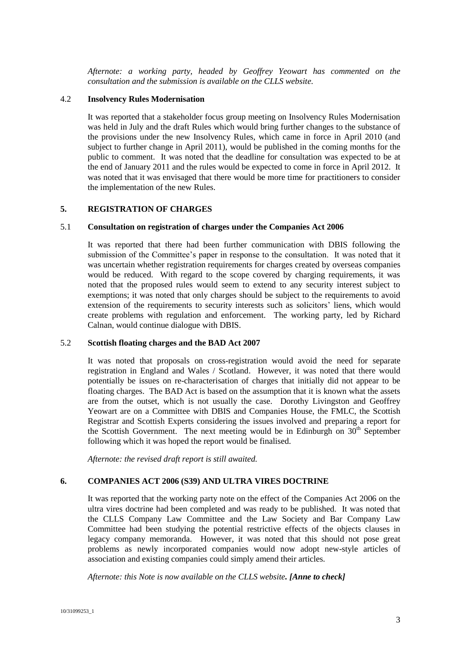*Afternote: a working party, headed by Geoffrey Yeowart has commented on the consultation and the submission is available on the CLLS website.*

## 4.2 **Insolvency Rules Modernisation**

It was reported that a stakeholder focus group meeting on Insolvency Rules Modernisation was held in July and the draft Rules which would bring further changes to the substance of the provisions under the new Insolvency Rules, which came in force in April 2010 (and subject to further change in April 2011), would be published in the coming months for the public to comment. It was noted that the deadline for consultation was expected to be at the end of January 2011 and the rules would be expected to come in force in April 2012. It was noted that it was envisaged that there would be more time for practitioners to consider the implementation of the new Rules.

#### **5. REGISTRATION OF CHARGES**

#### 5.1 **Consultation on registration of charges under the Companies Act 2006**

It was reported that there had been further communication with DBIS following the submission of the Committee's paper in response to the consultation. It was noted that it was uncertain whether registration requirements for charges created by overseas companies would be reduced. With regard to the scope covered by charging requirements, it was noted that the proposed rules would seem to extend to any security interest subject to exemptions; it was noted that only charges should be subject to the requirements to avoid extension of the requirements to security interests such as solicitors' liens, which would create problems with regulation and enforcement. The working party, led by Richard Calnan, would continue dialogue with DBIS.

#### 5.2 **Scottish floating charges and the BAD Act 2007**

It was noted that proposals on cross-registration would avoid the need for separate registration in England and Wales / Scotland. However, it was noted that there would potentially be issues on re-characterisation of charges that initially did not appear to be floating charges. The BAD Act is based on the assumption that it is known what the assets are from the outset, which is not usually the case. Dorothy Livingston and Geoffrey Yeowart are on a Committee with DBIS and Companies House, the FMLC, the Scottish Registrar and Scottish Experts considering the issues involved and preparing a report for the Scottish Government. The next meeting would be in Edinburgh on  $30<sup>th</sup>$  September following which it was hoped the report would be finalised.

*Afternote: the revised draft report is still awaited.*

### **6. COMPANIES ACT 2006 (S39) AND ULTRA VIRES DOCTRINE**

It was reported that the working party note on the effect of the Companies Act 2006 on the ultra vires doctrine had been completed and was ready to be published. It was noted that the CLLS Company Law Committee and the Law Society and Bar Company Law Committee had been studying the potential restrictive effects of the objects clauses in legacy company memoranda. However, it was noted that this should not pose great problems as newly incorporated companies would now adopt new-style articles of association and existing companies could simply amend their articles.

*Afternote: this Note is now available on the CLLS website. [Anne to check]*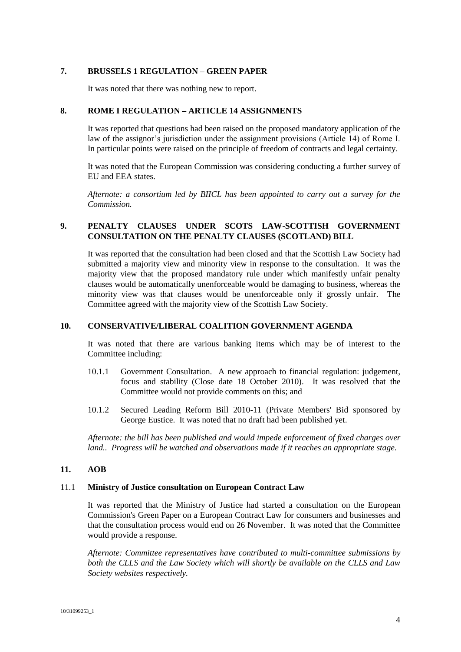## **7. BRUSSELS 1 REGULATION – GREEN PAPER**

It was noted that there was nothing new to report.

### **8. ROME I REGULATION – ARTICLE 14 ASSIGNMENTS**

It was reported that questions had been raised on the proposed mandatory application of the law of the assignor's jurisdiction under the assignment provisions (Article 14) of Rome I. In particular points were raised on the principle of freedom of contracts and legal certainty.

It was noted that the European Commission was considering conducting a further survey of EU and EEA states.

*Afternote: a consortium led by BIICL has been appointed to carry out a survey for the Commission.*

# **9. PENALTY CLAUSES UNDER SCOTS LAW-SCOTTISH GOVERNMENT CONSULTATION ON THE PENALTY CLAUSES (SCOTLAND) BILL**

It was reported that the consultation had been closed and that the Scottish Law Society had submitted a majority view and minority view in response to the consultation. It was the majority view that the proposed mandatory rule under which manifestly unfair penalty clauses would be automatically unenforceable would be damaging to business, whereas the minority view was that clauses would be unenforceable only if grossly unfair. The Committee agreed with the majority view of the Scottish Law Society.

## **10. CONSERVATIVE/LIBERAL COALITION GOVERNMENT AGENDA**

It was noted that there are various banking items which may be of interest to the Committee including:

- 10.1.1 Government Consultation. A new approach to financial regulation: judgement, focus and stability (Close date 18 October 2010). It was resolved that the Committee would not provide comments on this; and
- 10.1.2 Secured Leading Reform Bill 2010-11 (Private Members' Bid sponsored by George Eustice. It was noted that no draft had been published yet.

*Afternote: the bill has been published and would impede enforcement of fixed charges over land.. Progress will be watched and observations made if it reaches an appropriate stage.*

### **11. AOB**

#### 11.1 **Ministry of Justice consultation on European Contract Law**

It was reported that the Ministry of Justice had started a consultation on the European Commission's Green Paper on a European Contract Law for consumers and businesses and that the consultation process would end on 26 November. It was noted that the Committee would provide a response.

*Afternote: Committee representatives have contributed to multi-committee submissions by both the CLLS and the Law Society which will shortly be available on the CLLS and Law Society websites respectively.*